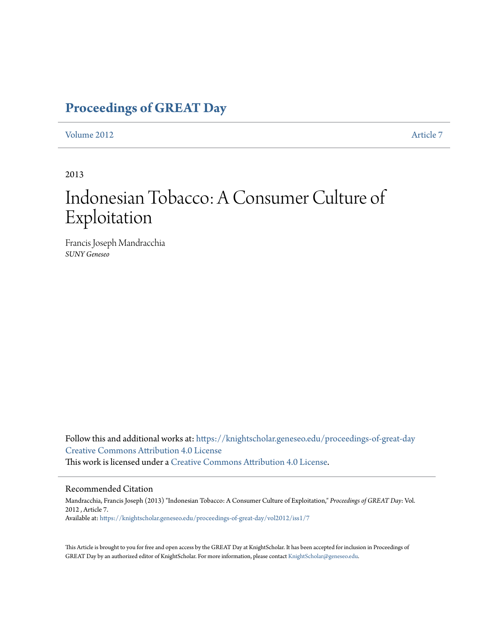## **[Proceedings of GREAT Day](https://knightscholar.geneseo.edu/proceedings-of-great-day?utm_source=knightscholar.geneseo.edu%2Fproceedings-of-great-day%2Fvol2012%2Fiss1%2F7&utm_medium=PDF&utm_campaign=PDFCoverPages)**

#### [Volume 2012](https://knightscholar.geneseo.edu/proceedings-of-great-day/vol2012?utm_source=knightscholar.geneseo.edu%2Fproceedings-of-great-day%2Fvol2012%2Fiss1%2F7&utm_medium=PDF&utm_campaign=PDFCoverPages) **[Article 7](https://knightscholar.geneseo.edu/proceedings-of-great-day/vol2012/iss1/7?utm_source=knightscholar.geneseo.edu%2Fproceedings-of-great-day%2Fvol2012%2Fiss1%2F7&utm_medium=PDF&utm_campaign=PDFCoverPages)**

#### 2013

# Indonesian Tobacco: A Consumer Culture of Exploitation

Francis Joseph Mandracchia *SUNY Geneseo*

Follow this and additional works at: [https://knightscholar.geneseo.edu/proceedings-of-great-day](https://knightscholar.geneseo.edu/proceedings-of-great-day?utm_source=knightscholar.geneseo.edu%2Fproceedings-of-great-day%2Fvol2012%2Fiss1%2F7&utm_medium=PDF&utm_campaign=PDFCoverPages) [Creative Commons Attribution 4.0 License](http://creativecommons.org/licenses/by/4.0/) This work is licensed under a [Creative Commons Attribution 4.0 License.](http://creativecommons.org/licenses/by/4.0/)

#### Recommended Citation

Mandracchia, Francis Joseph (2013) "Indonesian Tobacco: A Consumer Culture of Exploitation," *Proceedings of GREAT Day*: Vol. 2012 , Article 7. Available at: [https://knightscholar.geneseo.edu/proceedings-of-great-day/vol2012/iss1/7](https://knightscholar.geneseo.edu/proceedings-of-great-day/vol2012/iss1/7?utm_source=knightscholar.geneseo.edu%2Fproceedings-of-great-day%2Fvol2012%2Fiss1%2F7&utm_medium=PDF&utm_campaign=PDFCoverPages)

This Article is brought to you for free and open access by the GREAT Day at KnightScholar. It has been accepted for inclusion in Proceedings of GREAT Day by an authorized editor of KnightScholar. For more information, please contact [KnightScholar@geneseo.edu.](mailto:KnightScholar@geneseo.edu)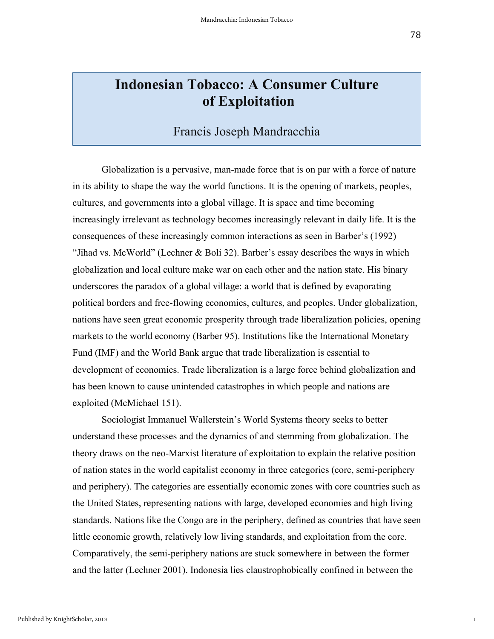## **Indonesian Tobacco: A Consumer Culture of Exploitation**

### Francis Joseph Mandracchia

Globalization is a pervasive, man-made force that is on par with a force of nature in its ability to shape the way the world functions. It is the opening of markets, peoples, cultures, and governments into a global village. It is space and time becoming increasingly irrelevant as technology becomes increasingly relevant in daily life. It is the consequences of these increasingly common interactions as seen in Barber's (1992) "Jihad vs. McWorld" (Lechner & Boli 32). Barber's essay describes the ways in which globalization and local culture make war on each other and the nation state. His binary underscores the paradox of a global village: a world that is defined by evaporating political borders and free-flowing economies, cultures, and peoples. Under globalization, nations have seen great economic prosperity through trade liberalization policies, opening markets to the world economy (Barber 95). Institutions like the International Monetary Fund (IMF) and the World Bank argue that trade liberalization is essential to development of economies. Trade liberalization is a large force behind globalization and has been known to cause unintended catastrophes in which people and nations are exploited (McMichael 151).

Sociologist Immanuel Wallerstein's World Systems theory seeks to better understand these processes and the dynamics of and stemming from globalization. The theory draws on the neo-Marxist literature of exploitation to explain the relative position of nation states in the world capitalist economy in three categories (core, semi-periphery and periphery). The categories are essentially economic zones with core countries such as the United States, representing nations with large, developed economies and high living standards. Nations like the Congo are in the periphery, defined as countries that have seen little economic growth, relatively low living standards, and exploitation from the core. Comparatively, the semi-periphery nations are stuck somewhere in between the former and the latter (Lechner 2001). Indonesia lies claustrophobically confined in between the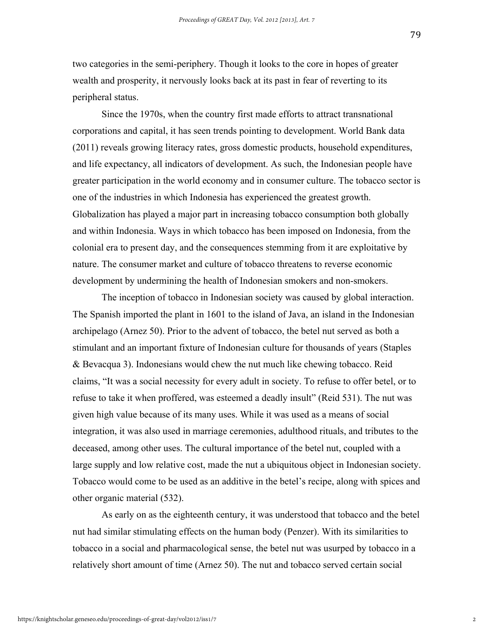two categories in the semi-periphery. Though it looks to the core in hopes of greater wealth and prosperity, it nervously looks back at its past in fear of reverting to its peripheral status.

Since the 1970s, when the country first made efforts to attract transnational corporations and capital, it has seen trends pointing to development. World Bank data (2011) reveals growing literacy rates, gross domestic products, household expenditures, and life expectancy, all indicators of development. As such, the Indonesian people have greater participation in the world economy and in consumer culture. The tobacco sector is one of the industries in which Indonesia has experienced the greatest growth. Globalization has played a major part in increasing tobacco consumption both globally and within Indonesia. Ways in which tobacco has been imposed on Indonesia, from the colonial era to present day, and the consequences stemming from it are exploitative by nature. The consumer market and culture of tobacco threatens to reverse economic development by undermining the health of Indonesian smokers and non-smokers.

The inception of tobacco in Indonesian society was caused by global interaction. The Spanish imported the plant in 1601 to the island of Java, an island in the Indonesian archipelago (Arnez 50). Prior to the advent of tobacco, the betel nut served as both a stimulant and an important fixture of Indonesian culture for thousands of years (Staples & Bevacqua 3). Indonesians would chew the nut much like chewing tobacco. Reid claims, "It was a social necessity for every adult in society. To refuse to offer betel, or to refuse to take it when proffered, was esteemed a deadly insult" (Reid 531). The nut was given high value because of its many uses. While it was used as a means of social integration, it was also used in marriage ceremonies, adulthood rituals, and tributes to the deceased, among other uses. The cultural importance of the betel nut, coupled with a large supply and low relative cost, made the nut a ubiquitous object in Indonesian society. Tobacco would come to be used as an additive in the betel's recipe, along with spices and other organic material (532).

As early on as the eighteenth century, it was understood that tobacco and the betel nut had similar stimulating effects on the human body (Penzer). With its similarities to tobacco in a social and pharmacological sense, the betel nut was usurped by tobacco in a relatively short amount of time (Arnez 50). The nut and tobacco served certain social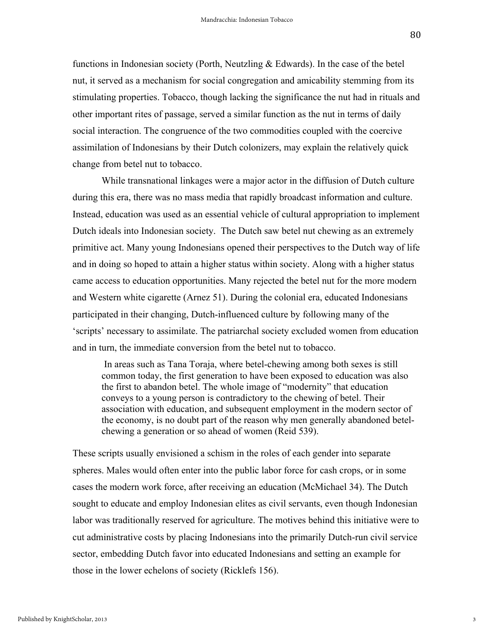functions in Indonesian society (Porth, Neutzling & Edwards). In the case of the betel nut, it served as a mechanism for social congregation and amicability stemming from its stimulating properties. Tobacco, though lacking the significance the nut had in rituals and other important rites of passage, served a similar function as the nut in terms of daily social interaction. The congruence of the two commodities coupled with the coercive assimilation of Indonesians by their Dutch colonizers, may explain the relatively quick change from betel nut to tobacco.

While transnational linkages were a major actor in the diffusion of Dutch culture during this era, there was no mass media that rapidly broadcast information and culture. Instead, education was used as an essential vehicle of cultural appropriation to implement Dutch ideals into Indonesian society. The Dutch saw betel nut chewing as an extremely primitive act. Many young Indonesians opened their perspectives to the Dutch way of life and in doing so hoped to attain a higher status within society. Along with a higher status came access to education opportunities. Many rejected the betel nut for the more modern and Western white cigarette (Arnez 51). During the colonial era, educated Indonesians participated in their changing, Dutch-influenced culture by following many of the 'scripts' necessary to assimilate. The patriarchal society excluded women from education and in turn, the immediate conversion from the betel nut to tobacco.

In areas such as Tana Toraja, where betel-chewing among both sexes is still common today, the first generation to have been exposed to education was also the first to abandon betel. The whole image of "modernity" that education conveys to a young person is contradictory to the chewing of betel. Their association with education, and subsequent employment in the modern sector of the economy, is no doubt part of the reason why men generally abandoned betelchewing a generation or so ahead of women (Reid 539).

These scripts usually envisioned a schism in the roles of each gender into separate spheres. Males would often enter into the public labor force for cash crops, or in some cases the modern work force, after receiving an education (McMichael 34). The Dutch sought to educate and employ Indonesian elites as civil servants, even though Indonesian labor was traditionally reserved for agriculture. The motives behind this initiative were to cut administrative costs by placing Indonesians into the primarily Dutch-run civil service sector, embedding Dutch favor into educated Indonesians and setting an example for those in the lower echelons of society (Ricklefs 156).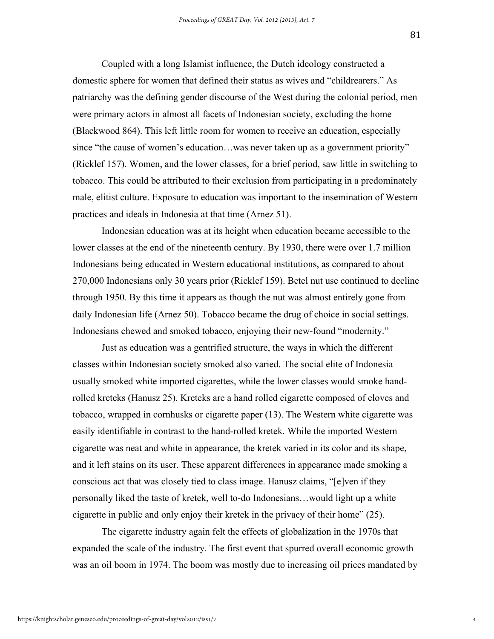Coupled with a long Islamist influence, the Dutch ideology constructed a domestic sphere for women that defined their status as wives and "childrearers." As patriarchy was the defining gender discourse of the West during the colonial period, men were primary actors in almost all facets of Indonesian society, excluding the home (Blackwood 864). This left little room for women to receive an education, especially since "the cause of women's education…was never taken up as a government priority" (Ricklef 157). Women, and the lower classes, for a brief period, saw little in switching to tobacco. This could be attributed to their exclusion from participating in a predominately male, elitist culture. Exposure to education was important to the insemination of Western practices and ideals in Indonesia at that time (Arnez 51).

Indonesian education was at its height when education became accessible to the lower classes at the end of the nineteenth century. By 1930, there were over 1.7 million Indonesians being educated in Western educational institutions, as compared to about 270,000 Indonesians only 30 years prior (Ricklef 159). Betel nut use continued to decline through 1950. By this time it appears as though the nut was almost entirely gone from daily Indonesian life (Arnez 50). Tobacco became the drug of choice in social settings. Indonesians chewed and smoked tobacco, enjoying their new-found "modernity."

Just as education was a gentrified structure, the ways in which the different classes within Indonesian society smoked also varied. The social elite of Indonesia usually smoked white imported cigarettes, while the lower classes would smoke handrolled kreteks (Hanusz 25). Kreteks are a hand rolled cigarette composed of cloves and tobacco, wrapped in cornhusks or cigarette paper (13). The Western white cigarette was easily identifiable in contrast to the hand-rolled kretek. While the imported Western cigarette was neat and white in appearance, the kretek varied in its color and its shape, and it left stains on its user. These apparent differences in appearance made smoking a conscious act that was closely tied to class image. Hanusz claims, "[e]ven if they personally liked the taste of kretek, well to-do Indonesians…would light up a white cigarette in public and only enjoy their kretek in the privacy of their home" (25).

The cigarette industry again felt the effects of globalization in the 1970s that expanded the scale of the industry. The first event that spurred overall economic growth was an oil boom in 1974. The boom was mostly due to increasing oil prices mandated by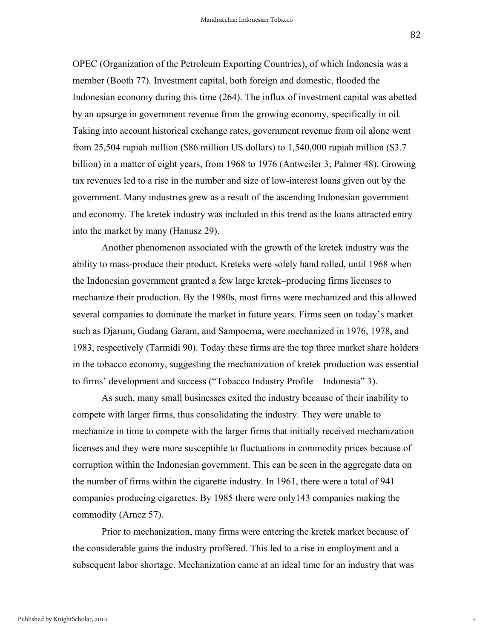OPEC (Organization of the Petroleum Exporting Countries), of which Indonesia was a member (Booth 77). Investment capital, both foreign and domestic, flooded the Indonesian economy during this time (264). The influx of investment capital was abetted by an upsurge in government revenue from the growing economy, specifically in oil. Taking into account historical exchange rates, government revenue from oil alone went from 25,504 rupiah million (\$86 million US dollars) to 1,540,000 rupiah million (\$3.7 billion) in a matter of eight years, from 1968 to 1976 (Antweiler 3; Palmer 48). Growing tax revenues led to a rise in the number and size of low-interest loans given out by the government. Many industries grew as a result of the ascending Indonesian government and economy. The kretek industry was included in this trend as the loans attracted entry into the market by many (Hanusz 29).

Another phenomenon associated with the growth of the kretek industry was the ability to mass-produce their product. Kreteks were solely hand rolled, until 1968 when the Indonesian government granted a few large kretek–producing firms licenses to mechanize their production. By the 1980s, most firms were mechanized and this allowed several companies to dominate the market in future years. Firms seen on today's market such as Djarum, Gudang Garam, and Sampoerna, were mechanized in 1976, 1978, and 1983, respectively (Tarmidi 90). Today these firms are the top three market share holders in the tobacco economy, suggesting the mechanization of kretek production was essential to firms' development and success ("Tobacco Industry Profile—Indonesia" 3).

As such, many small businesses exited the industry because of their inability to compete with larger firms, thus consolidating the industry. They were unable to mechanize in time to compete with the larger firms that initially received mechanization licenses and they were more susceptible to fluctuations in commodity prices because of corruption within the Indonesian government. This can be seen in the aggregate data on the number of firms within the cigarette industry. In 1961, there were a total of 941 companies producing cigarettes. By 1985 there were only143 companies making the commodity (Arnez 57).

Prior to mechanization, many firms were entering the kretek market because of the considerable gains the industry proffered. This led to a rise in employment and a subsequent labor shortage. Mechanization came at an ideal time for an industry that was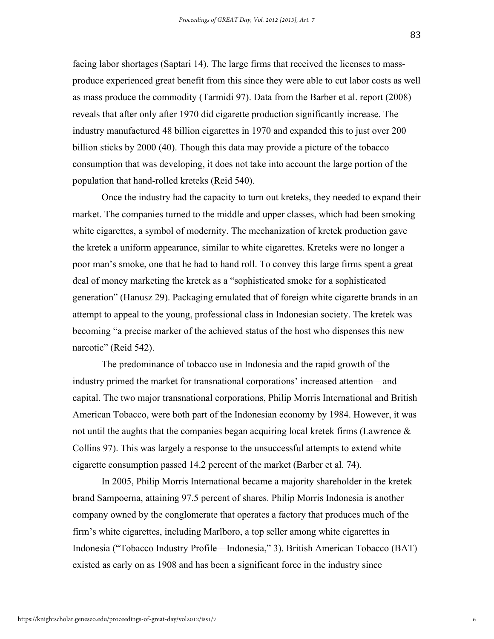facing labor shortages (Saptari 14). The large firms that received the licenses to massproduce experienced great benefit from this since they were able to cut labor costs as well as mass produce the commodity (Tarmidi 97). Data from the Barber et al. report (2008) reveals that after only after 1970 did cigarette production significantly increase. The industry manufactured 48 billion cigarettes in 1970 and expanded this to just over 200 billion sticks by 2000 (40). Though this data may provide a picture of the tobacco consumption that was developing, it does not take into account the large portion of the population that hand-rolled kreteks (Reid 540).

Once the industry had the capacity to turn out kreteks, they needed to expand their market. The companies turned to the middle and upper classes, which had been smoking white cigarettes, a symbol of modernity. The mechanization of kretek production gave the kretek a uniform appearance, similar to white cigarettes. Kreteks were no longer a poor man's smoke, one that he had to hand roll. To convey this large firms spent a great deal of money marketing the kretek as a "sophisticated smoke for a sophisticated generation" (Hanusz 29). Packaging emulated that of foreign white cigarette brands in an attempt to appeal to the young, professional class in Indonesian society. The kretek was becoming "a precise marker of the achieved status of the host who dispenses this new narcotic" (Reid 542).

The predominance of tobacco use in Indonesia and the rapid growth of the industry primed the market for transnational corporations' increased attention—and capital. The two major transnational corporations, Philip Morris International and British American Tobacco, were both part of the Indonesian economy by 1984. However, it was not until the aughts that the companies began acquiring local kretek firms (Lawrence  $\&$ Collins 97). This was largely a response to the unsuccessful attempts to extend white cigarette consumption passed 14.2 percent of the market (Barber et al. 74).

In 2005, Philip Morris International became a majority shareholder in the kretek brand Sampoerna, attaining 97.5 percent of shares. Philip Morris Indonesia is another company owned by the conglomerate that operates a factory that produces much of the firm's white cigarettes, including Marlboro, a top seller among white cigarettes in Indonesia ("Tobacco Industry Profile—Indonesia," 3). British American Tobacco (BAT) existed as early on as 1908 and has been a significant force in the industry since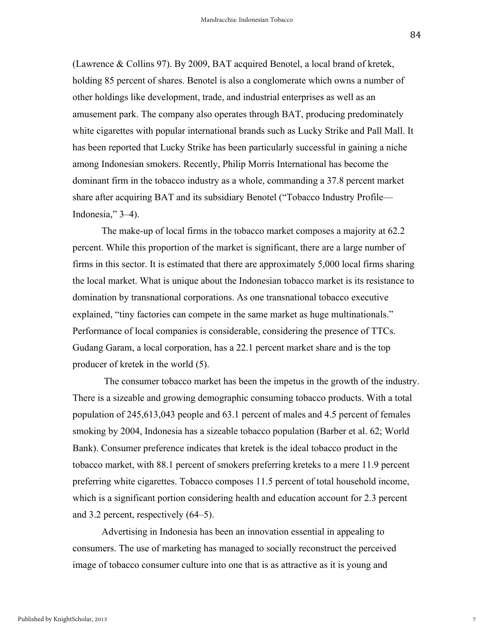(Lawrence & Collins 97). By 2009, BAT acquired Benotel, a local brand of kretek, holding 85 percent of shares. Benotel is also a conglomerate which owns a number of other holdings like development, trade, and industrial enterprises as well as an amusement park. The company also operates through BAT, producing predominately white cigarettes with popular international brands such as Lucky Strike and Pall Mall. It has been reported that Lucky Strike has been particularly successful in gaining a niche among Indonesian smokers. Recently, Philip Morris International has become the dominant firm in the tobacco industry as a whole, commanding a 37.8 percent market share after acquiring BAT and its subsidiary Benotel ("Tobacco Industry Profile— Indonesia," 3–4).

The make-up of local firms in the tobacco market composes a majority at 62.2 percent. While this proportion of the market is significant, there are a large number of firms in this sector. It is estimated that there are approximately 5,000 local firms sharing the local market. What is unique about the Indonesian tobacco market is its resistance to domination by transnational corporations. As one transnational tobacco executive explained, "tiny factories can compete in the same market as huge multinationals." Performance of local companies is considerable, considering the presence of TTCs. Gudang Garam, a local corporation, has a 22.1 percent market share and is the top producer of kretek in the world (5).

The consumer tobacco market has been the impetus in the growth of the industry. There is a sizeable and growing demographic consuming tobacco products. With a total population of 245,613,043 people and 63.1 percent of males and 4.5 percent of females smoking by 2004, Indonesia has a sizeable tobacco population (Barber et al. 62; World Bank). Consumer preference indicates that kretek is the ideal tobacco product in the tobacco market, with 88.1 percent of smokers preferring kreteks to a mere 11.9 percent preferring white cigarettes. Tobacco composes 11.5 percent of total household income, which is a significant portion considering health and education account for 2.3 percent and 3.2 percent, respectively (64–5).

Advertising in Indonesia has been an innovation essential in appealing to consumers. The use of marketing has managed to socially reconstruct the perceived image of tobacco consumer culture into one that is as attractive as it is young and

7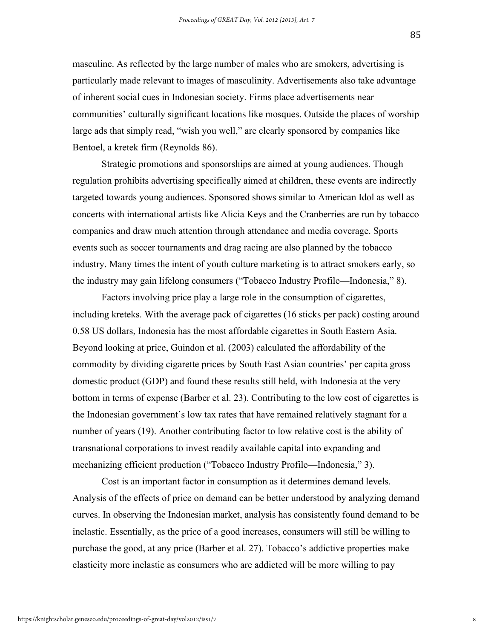masculine. As reflected by the large number of males who are smokers, advertising is particularly made relevant to images of masculinity. Advertisements also take advantage of inherent social cues in Indonesian society. Firms place advertisements near communities' culturally significant locations like mosques. Outside the places of worship large ads that simply read, "wish you well," are clearly sponsored by companies like Bentoel, a kretek firm (Reynolds 86).

Strategic promotions and sponsorships are aimed at young audiences. Though regulation prohibits advertising specifically aimed at children, these events are indirectly targeted towards young audiences. Sponsored shows similar to American Idol as well as concerts with international artists like Alicia Keys and the Cranberries are run by tobacco companies and draw much attention through attendance and media coverage. Sports events such as soccer tournaments and drag racing are also planned by the tobacco industry. Many times the intent of youth culture marketing is to attract smokers early, so the industry may gain lifelong consumers ("Tobacco Industry Profile—Indonesia," 8).

Factors involving price play a large role in the consumption of cigarettes, including kreteks. With the average pack of cigarettes (16 sticks per pack) costing around 0.58 US dollars, Indonesia has the most affordable cigarettes in South Eastern Asia. Beyond looking at price, Guindon et al. (2003) calculated the affordability of the commodity by dividing cigarette prices by South East Asian countries' per capita gross domestic product (GDP) and found these results still held, with Indonesia at the very bottom in terms of expense (Barber et al. 23). Contributing to the low cost of cigarettes is the Indonesian government's low tax rates that have remained relatively stagnant for a number of years (19). Another contributing factor to low relative cost is the ability of transnational corporations to invest readily available capital into expanding and mechanizing efficient production ("Tobacco Industry Profile—Indonesia," 3).

Cost is an important factor in consumption as it determines demand levels. Analysis of the effects of price on demand can be better understood by analyzing demand curves. In observing the Indonesian market, analysis has consistently found demand to be inelastic. Essentially, as the price of a good increases, consumers will still be willing to purchase the good, at any price (Barber et al. 27). Tobacco's addictive properties make elasticity more inelastic as consumers who are addicted will be more willing to pay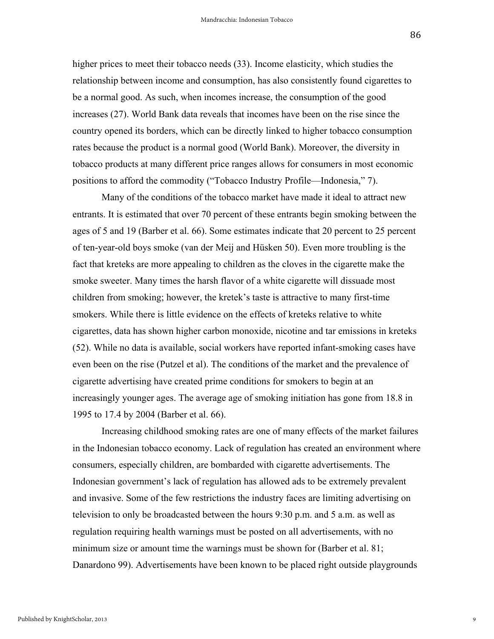higher prices to meet their tobacco needs (33). Income elasticity, which studies the relationship between income and consumption, has also consistently found cigarettes to be a normal good. As such, when incomes increase, the consumption of the good increases (27). World Bank data reveals that incomes have been on the rise since the country opened its borders, which can be directly linked to higher tobacco consumption rates because the product is a normal good (World Bank). Moreover, the diversity in tobacco products at many different price ranges allows for consumers in most economic positions to afford the commodity ("Tobacco Industry Profile—Indonesia," 7).

Many of the conditions of the tobacco market have made it ideal to attract new entrants. It is estimated that over 70 percent of these entrants begin smoking between the ages of 5 and 19 (Barber et al. 66). Some estimates indicate that 20 percent to 25 percent of ten-year-old boys smoke (van der Meij and Hüsken 50). Even more troubling is the fact that kreteks are more appealing to children as the cloves in the cigarette make the smoke sweeter. Many times the harsh flavor of a white cigarette will dissuade most children from smoking; however, the kretek's taste is attractive to many first-time smokers. While there is little evidence on the effects of kreteks relative to white cigarettes, data has shown higher carbon monoxide, nicotine and tar emissions in kreteks (52). While no data is available, social workers have reported infant-smoking cases have even been on the rise (Putzel et al). The conditions of the market and the prevalence of cigarette advertising have created prime conditions for smokers to begin at an increasingly younger ages. The average age of smoking initiation has gone from 18.8 in 1995 to 17.4 by 2004 (Barber et al. 66).

Increasing childhood smoking rates are one of many effects of the market failures in the Indonesian tobacco economy. Lack of regulation has created an environment where consumers, especially children, are bombarded with cigarette advertisements. The Indonesian government's lack of regulation has allowed ads to be extremely prevalent and invasive. Some of the few restrictions the industry faces are limiting advertising on television to only be broadcasted between the hours 9:30 p.m. and 5 a.m. as well as regulation requiring health warnings must be posted on all advertisements, with no minimum size or amount time the warnings must be shown for (Barber et al. 81; Danardono 99). Advertisements have been known to be placed right outside playgrounds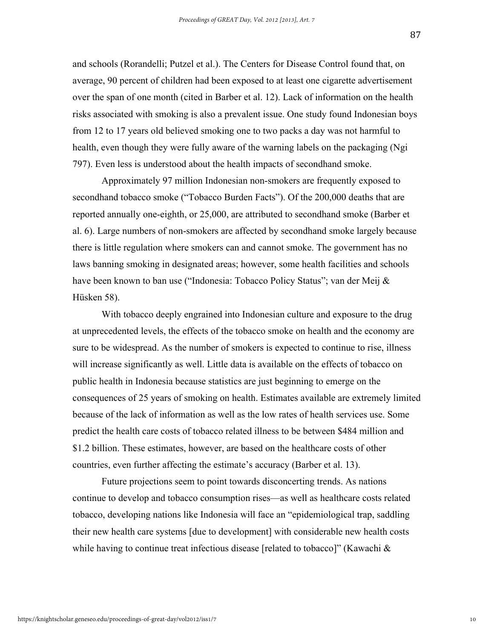and schools (Rorandelli; Putzel et al.). The Centers for Disease Control found that, on average, 90 percent of children had been exposed to at least one cigarette advertisement over the span of one month (cited in Barber et al. 12). Lack of information on the health risks associated with smoking is also a prevalent issue. One study found Indonesian boys from 12 to 17 years old believed smoking one to two packs a day was not harmful to health, even though they were fully aware of the warning labels on the packaging (Ngi 797). Even less is understood about the health impacts of secondhand smoke.

Approximately 97 million Indonesian non-smokers are frequently exposed to secondhand tobacco smoke ("Tobacco Burden Facts"). Of the 200,000 deaths that are reported annually one-eighth, or 25,000, are attributed to secondhand smoke (Barber et al. 6). Large numbers of non-smokers are affected by secondhand smoke largely because there is little regulation where smokers can and cannot smoke. The government has no laws banning smoking in designated areas; however, some health facilities and schools have been known to ban use ("Indonesia: Tobacco Policy Status"; van der Meij & Hüsken 58).

With tobacco deeply engrained into Indonesian culture and exposure to the drug at unprecedented levels, the effects of the tobacco smoke on health and the economy are sure to be widespread. As the number of smokers is expected to continue to rise, illness will increase significantly as well. Little data is available on the effects of tobacco on public health in Indonesia because statistics are just beginning to emerge on the consequences of 25 years of smoking on health. Estimates available are extremely limited because of the lack of information as well as the low rates of health services use. Some predict the health care costs of tobacco related illness to be between \$484 million and \$1.2 billion. These estimates, however, are based on the healthcare costs of other countries, even further affecting the estimate's accuracy (Barber et al. 13).

Future projections seem to point towards disconcerting trends. As nations continue to develop and tobacco consumption rises—as well as healthcare costs related tobacco, developing nations like Indonesia will face an "epidemiological trap, saddling their new health care systems [due to development] with considerable new health costs while having to continue treat infectious disease [related to tobacco]" (Kawachi &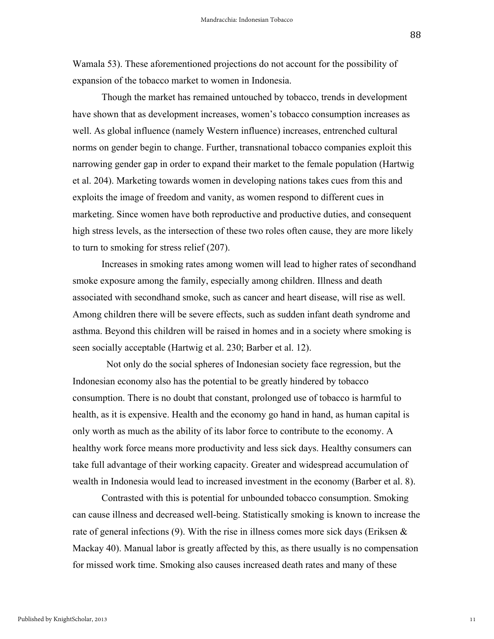Wamala 53). These aforementioned projections do not account for the possibility of expansion of the tobacco market to women in Indonesia.

Though the market has remained untouched by tobacco, trends in development have shown that as development increases, women's tobacco consumption increases as well. As global influence (namely Western influence) increases, entrenched cultural norms on gender begin to change. Further, transnational tobacco companies exploit this narrowing gender gap in order to expand their market to the female population (Hartwig et al. 204). Marketing towards women in developing nations takes cues from this and exploits the image of freedom and vanity, as women respond to different cues in marketing. Since women have both reproductive and productive duties, and consequent high stress levels, as the intersection of these two roles often cause, they are more likely to turn to smoking for stress relief (207).

Increases in smoking rates among women will lead to higher rates of secondhand smoke exposure among the family, especially among children. Illness and death associated with secondhand smoke, such as cancer and heart disease, will rise as well. Among children there will be severe effects, such as sudden infant death syndrome and asthma. Beyond this children will be raised in homes and in a society where smoking is seen socially acceptable (Hartwig et al. 230; Barber et al. 12).

 Not only do the social spheres of Indonesian society face regression, but the Indonesian economy also has the potential to be greatly hindered by tobacco consumption. There is no doubt that constant, prolonged use of tobacco is harmful to health, as it is expensive. Health and the economy go hand in hand, as human capital is only worth as much as the ability of its labor force to contribute to the economy. A healthy work force means more productivity and less sick days. Healthy consumers can take full advantage of their working capacity. Greater and widespread accumulation of wealth in Indonesia would lead to increased investment in the economy (Barber et al. 8).

Contrasted with this is potential for unbounded tobacco consumption. Smoking can cause illness and decreased well-being. Statistically smoking is known to increase the rate of general infections (9). With the rise in illness comes more sick days (Eriksen  $\&$ Mackay 40). Manual labor is greatly affected by this, as there usually is no compensation for missed work time. Smoking also causes increased death rates and many of these

11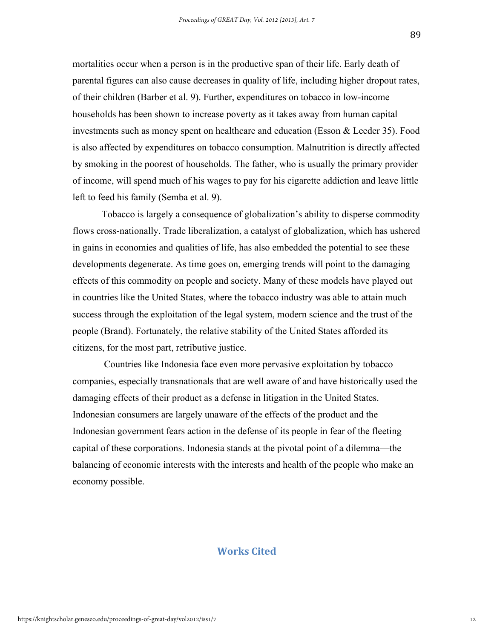mortalities occur when a person is in the productive span of their life. Early death of parental figures can also cause decreases in quality of life, including higher dropout rates, of their children (Barber et al. 9). Further, expenditures on tobacco in low-income households has been shown to increase poverty as it takes away from human capital investments such as money spent on healthcare and education (Esson & Leeder 35). Food is also affected by expenditures on tobacco consumption. Malnutrition is directly affected by smoking in the poorest of households. The father, who is usually the primary provider of income, will spend much of his wages to pay for his cigarette addiction and leave little left to feed his family (Semba et al. 9).

Tobacco is largely a consequence of globalization's ability to disperse commodity flows cross-nationally. Trade liberalization, a catalyst of globalization, which has ushered in gains in economies and qualities of life, has also embedded the potential to see these developments degenerate. As time goes on, emerging trends will point to the damaging effects of this commodity on people and society. Many of these models have played out in countries like the United States, where the tobacco industry was able to attain much success through the exploitation of the legal system, modern science and the trust of the people (Brand). Fortunately, the relative stability of the United States afforded its citizens, for the most part, retributive justice.

Countries like Indonesia face even more pervasive exploitation by tobacco companies, especially transnationals that are well aware of and have historically used the damaging effects of their product as a defense in litigation in the United States. Indonesian consumers are largely unaware of the effects of the product and the Indonesian government fears action in the defense of its people in fear of the fleeting capital of these corporations. Indonesia stands at the pivotal point of a dilemma—the balancing of economic interests with the interests and health of the people who make an economy possible.

#### **Works Cited**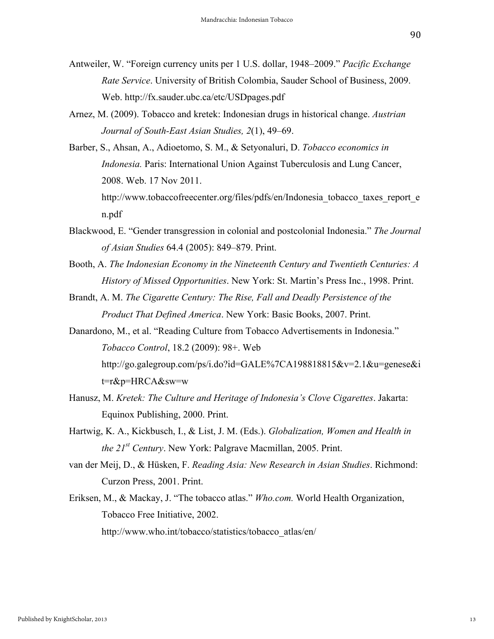- Antweiler, W. "Foreign currency units per 1 U.S. dollar, 1948–2009." *Pacific Exchange Rate Service*. University of British Colombia, Sauder School of Business, 2009. Web. http://fx.sauder.ubc.ca/etc/USDpages.pdf
- Arnez, M. (2009). Tobacco and kretek: Indonesian drugs in historical change. *Austrian Journal of South-East Asian Studies, 2*(1), 49–69.
- Barber, S., Ahsan, A., Adioetomo, S. M., & Setyonaluri, D. *Tobacco economics in Indonesia.* Paris: International Union Against Tuberculosis and Lung Cancer, 2008. Web. 17 Nov 2011. http://www.tobaccofreecenter.org/files/pdfs/en/Indonesia\_tobacco\_taxes\_report\_e\_

n.pdf

- Blackwood, E. "Gender transgression in colonial and postcolonial Indonesia." *The Journal of Asian Studies* 64.4 (2005): 849–879. Print.
- Booth, A. *The Indonesian Economy in the Nineteenth Century and Twentieth Centuries: A History of Missed Opportunities*. New York: St. Martin's Press Inc., 1998. Print.
- Brandt, A. M. *The Cigarette Century: The Rise, Fall and Deadly Persistence of the Product That Defined America*. New York: Basic Books, 2007. Print.
- Danardono, M., et al. "Reading Culture from Tobacco Advertisements in Indonesia." *Tobacco Control*, 18.2 (2009): 98+. Web http://go.galegroup.com/ps/i.do?id=GALE%7CA198818815&v=2.1&u=genese&i t=r&p=HRCA&sw=w
- Hanusz, M. *Kretek: The Culture and Heritage of Indonesia's Clove Cigarettes*. Jakarta: Equinox Publishing, 2000. Print.
- Hartwig, K. A., Kickbusch, I., & List, J. M. (Eds.). *Globalization, Women and Health in the 21st Century*. New York: Palgrave Macmillan, 2005. Print.
- van der Meij, D., & Hüsken, F. *Reading Asia: New Research in Asian Studies*. Richmond: Curzon Press, 2001. Print.
- Eriksen, M., & Mackay, J. "The tobacco atlas." *Who.com.* World Health Organization, Tobacco Free Initiative, 2002. http://www.who.int/tobacco/statistics/tobacco\_atlas/en/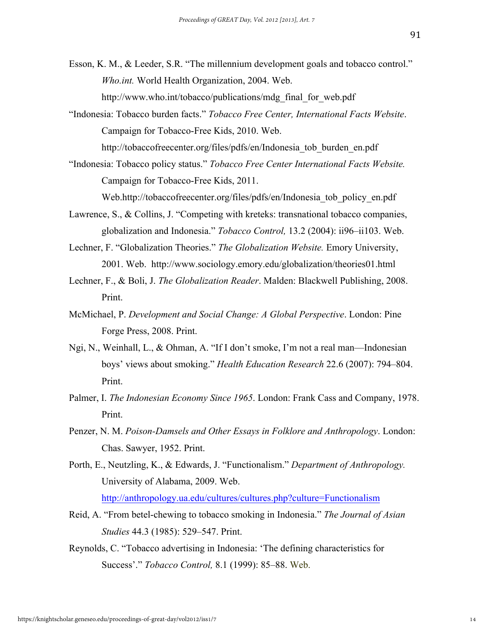- Esson, K. M., & Leeder, S.R. "The millennium development goals and tobacco control." *Who.int.* World Health Organization, 2004. Web. http://www.who.int/tobacco/publications/mdg\_final\_for\_web.pdf
- "Indonesia: Tobacco burden facts." *Tobacco Free Center, International Facts Website*. Campaign for Tobacco-Free Kids, 2010. Web.

http://tobaccofreecenter.org/files/pdfs/en/Indonesia\_tob\_burden\_en.pdf

"Indonesia: Tobacco policy status." *Tobacco Free Center International Facts Website.*  Campaign for Tobacco-Free Kids, 2011.

Web.http://tobaccofreecenter.org/files/pdfs/en/Indonesia\_tob\_policy\_en.pdf

- Lawrence, S., & Collins, J. "Competing with kreteks: transnational tobacco companies, globalization and Indonesia." *Tobacco Control,* 13.2 (2004): ii96–ii103. Web.
- Lechner, F. "Globalization Theories." *The Globalization Website.* Emory University, 2001. Web. http://www.sociology.emory.edu/globalization/theories01.html
- Lechner, F., & Boli, J. *The Globalization Reader*. Malden: Blackwell Publishing, 2008. Print.
- McMichael, P. *Development and Social Change: A Global Perspective*. London: Pine Forge Press, 2008. Print.
- Ngi, N., Weinhall, L., & Ohman, A. "If I don't smoke, I'm not a real man—Indonesian boys' views about smoking." *Health Education Research* 22.6 (2007): 794–804. Print.
- Palmer, I. *The Indonesian Economy Since 1965*. London: Frank Cass and Company, 1978. Print.
- Penzer, N. M. *Poison-Damsels and Other Essays in Folklore and Anthropology*. London: Chas. Sawyer, 1952. Print.
- Porth, E., Neutzling, K., & Edwards, J. "Functionalism." *Department of Anthropology.* University of Alabama, 2009. Web. http://anthropology.ua.edu/cultures/cultures.php?culture=Functionalism
- Reid, A. "From betel-chewing to tobacco smoking in Indonesia." *The Journal of Asian Studies* 44.3 (1985): 529–547. Print.
- Reynolds, C. "Tobacco advertising in Indonesia: 'The defining characteristics for Success'." *Tobacco Control,* 8.1 (1999): 85–88. Web.